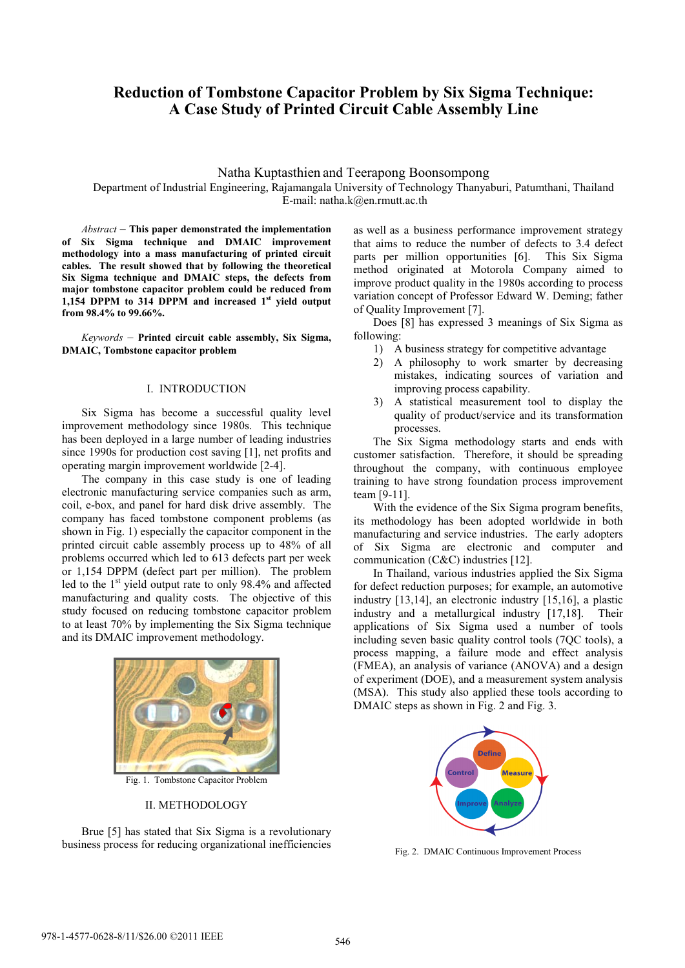# **Reduction of Tombstone Capacitor Problem by Six Sigma Technique: A Case Study of Printed Circuit Cable Assembly Line**

Natha Kuptasthien and Teerapong Boonsompong Department of Industrial Engineering, Rajamangala University of Technology Thanyaburi, Patumthani, Thailand E-mail: natha.k@en.rmutt.ac.th

*Abstract* – **This paper demonstrated the implementation of Six Sigma technique and DMAIC improvement methodology into a mass manufacturing of printed circuit cables. The result showed that by following the theoretical Six Sigma technique and DMAIC steps, the defects from major tombstone capacitor problem could be reduced from 1,154 DPPM to 314 DPPM and increased 1st yield output from 98.4% to 99.66%.** 

*Keywords* – **Printed circuit cable assembly, Six Sigma, DMAIC, Tombstone capacitor problem** 

### I. INTRODUCTION

 Six Sigma has become a successful quality level improvement methodology since 1980s. This technique has been deployed in a large number of leading industries since 1990s for production cost saving [1], net profits and operating margin improvement worldwide [2-4].

 The company in this case study is one of leading electronic manufacturing service companies such as arm, coil, e-box, and panel for hard disk drive assembly. The company has faced tombstone component problems (as shown in Fig. 1) especially the capacitor component in the printed circuit cable assembly process up to 48% of all problems occurred which led to 613 defects part per week or 1,154 DPPM (defect part per million). The problem led to the 1<sup>st</sup> yield output rate to only 98.4% and affected manufacturing and quality costs. The objective of this study focused on reducing tombstone capacitor problem to at least 70% by implementing the Six Sigma technique and its DMAIC improvement methodology.



Fig. 1. Tombstone Capacitor Problem

### II. METHODOLOGY

 Brue [5] has stated that Six Sigma is a revolutionary business process for reducing organizational inefficiencies

as well as a business performance improvement strategy that aims to reduce the number of defects to 3.4 defect parts per million opportunities [6]. This Six Sigma method originated at Motorola Company aimed to improve product quality in the 1980s according to process variation concept of Professor Edward W. Deming; father of Quality Improvement [7].

 Does [8] has expressed 3 meanings of Six Sigma as following:

- 1) A business strategy for competitive advantage
- 2) A philosophy to work smarter by decreasing mistakes, indicating sources of variation and improving process capability.
- 3) A statistical measurement tool to display the quality of product/service and its transformation processes.

 The Six Sigma methodology starts and ends with customer satisfaction. Therefore, it should be spreading throughout the company, with continuous employee training to have strong foundation process improvement team [9-11].

 With the evidence of the Six Sigma program benefits, its methodology has been adopted worldwide in both manufacturing and service industries. The early adopters of Six Sigma are electronic and computer and communication (C&C) industries [12].

 In Thailand, various industries applied the Six Sigma for defect reduction purposes; for example, an automotive industry [13,14], an electronic industry [15,16], a plastic industry and a metallurgical industry [17,18]. Their applications of Six Sigma used a number of tools including seven basic quality control tools (7QC tools), a process mapping, a failure mode and effect analysis (FMEA), an analysis of variance (ANOVA) and a design of experiment (DOE), and a measurement system analysis (MSA). This study also applied these tools according to DMAIC steps as shown in Fig. 2 and Fig. 3.



Fig. 2. DMAIC Continuous Improvement Process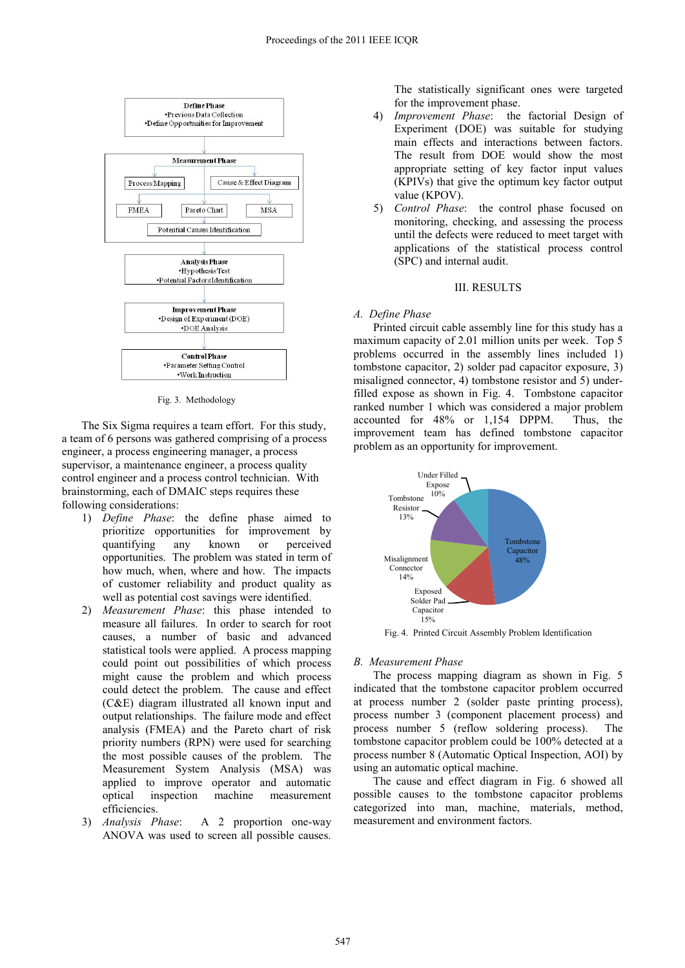

Fig. 3. Methodology

 The Six Sigma requires a team effort. For this study, a team of 6 persons was gathered comprising of a process engineer, a process engineering manager, a process supervisor, a maintenance engineer, a process quality control engineer and a process control technician. With brainstorming, each of DMAIC steps requires these following considerations:

- 1) *Define Phase*: the define phase aimed to prioritize opportunities for improvement by quantifying any known or perceived opportunities. The problem was stated in term of how much, when, where and how. The impacts of customer reliability and product quality as well as potential cost savings were identified.
- 2) *Measurement Phase*: this phase intended to measure all failures. In order to search for root causes, a number of basic and advanced statistical tools were applied. A process mapping could point out possibilities of which process might cause the problem and which process could detect the problem. The cause and effect (C&E) diagram illustrated all known input and output relationships. The failure mode and effect analysis (FMEA) and the Pareto chart of risk priority numbers (RPN) were used for searching the most possible causes of the problem. The Measurement System Analysis (MSA) was applied to improve operator and automatic optical inspection machine measurement efficiencies.
- 3) *Analysis Phase*: A 2 proportion one-way ANOVA was used to screen all possible causes.

The statistically significant ones were targeted for the improvement phase.

- 4) *Improvement Phase*: the factorial Design of Experiment (DOE) was suitable for studying main effects and interactions between factors. The result from DOE would show the most appropriate setting of key factor input values (KPIVs) that give the optimum key factor output value (KPOV).
- 5) *Control Phase*: the control phase focused on monitoring, checking, and assessing the process until the defects were reduced to meet target with applications of the statistical process control (SPC) and internal audit.

## III. RESULTS

# *A. Define Phase*

Printed circuit cable assembly line for this study has a maximum capacity of 2.01 million units per week. Top 5 problems occurred in the assembly lines included 1) tombstone capacitor, 2) solder pad capacitor exposure, 3) misaligned connector, 4) tombstone resistor and 5) underfilled expose as shown in Fig. 4. Tombstone capacitor ranked number 1 which was considered a major problem accounted for 48% or 1,154 DPPM. Thus, the improvement team has defined tombstone capacitor problem as an opportunity for improvement.



Fig. 4. Printed Circuit Assembly Problem Identification

# *B. Measurement Phase*

The process mapping diagram as shown in Fig. 5 indicated that the tombstone capacitor problem occurred at process number 2 (solder paste printing process), process number 3 (component placement process) and process number 5 (reflow soldering process). The tombstone capacitor problem could be 100% detected at a process number 8 (Automatic Optical Inspection, AOI) by using an automatic optical machine.

 The cause and effect diagram in Fig. 6 showed all possible causes to the tombstone capacitor problems categorized into man, machine, materials, method, measurement and environment factors.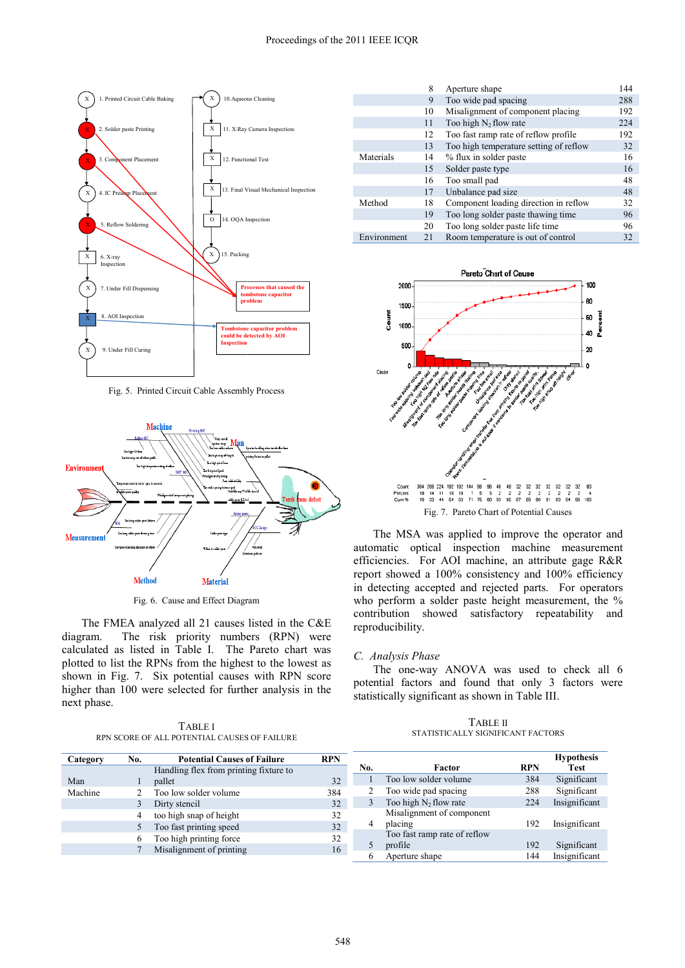

Fig. 5. Printed Circuit Cable Assembl ly Process



Fig. 6. Cause and Effect Diagram

 The FMEA analyzed all 21 causes listed in the C&E diagram. The risk priority numbers (RPN) were calculated as listed in Table I. The Pareto chart was plotted to list the RPNs from the highest to the lowest as shown in Fig. 7. Six potential causes s with RPN score higher than 100 were selected for furth her analysis in the next phase.

TABLE I RPN SCORE OF ALL POTENTIAL CAUSES S OF FAILURE

|             | 8                         | Aperture shape                         | 144 |
|-------------|---------------------------|----------------------------------------|-----|
|             | Too wide pad spacing<br>9 |                                        | 288 |
| 10          |                           | Misalignment of component placing      | 192 |
| 11          |                           | Too high $N_2$ flow rate               | 224 |
|             | 12                        | Too fast ramp rate of reflow profile.  | 192 |
|             | 13                        | Too high temperature setting of reflow | 32  |
| Materials   | 14                        | % flux in solder paste                 | 16  |
|             | 15                        | Solder paste type                      | 16  |
|             | 16                        | Too small pad                          | 48  |
|             | 17                        | Unbalance pad size                     | 48  |
| Method      | 18                        | Component loading direction in reflow  | 32  |
|             | 19                        | Too long solder paste thawing time     | 96  |
|             | 20                        | Too long solder paste life time        | 96  |
| Environment | 21                        | Room temperature is out of control     | 32  |



The MSA was applied to improve the operator and automatic optical inspection n machine measurement efficiencies. For AOI machine, an attribute gage R&R report showed a 100% consis tency and 100% efficiency in detecting accepted and rejected parts. For operators who perform a solder paste height measurement, the % contribution showed satisf factory repeatability and reproducibility.

# *C. Analysis Phase*

The one-way ANOVA was used to check all 6 potential factors and found that only 3 factors were statistically significant as shown in Table III.

TABLE E II STATISTICALLY SIGNIFICANT FACTORS

| No. | Factor                                  | RPN | <b>Hypothesis</b><br><b>Test</b> |
|-----|-----------------------------------------|-----|----------------------------------|
|     | Too low solder volume                   | 384 | Significant                      |
| 2   | Too wide pad spacing                    | 288 | Significant                      |
| 3   | Too high $N_2$ flow rate                | 224 | Insignificant                    |
| 4   | Misalignment of component<br>placing    | 192 | Insignificant                    |
| 5   | Too fast ramp rate of reflow<br>profile | 192 | Significant                      |
| 6   | Aperture shape                          | 144 | Insignificant                    |

| Category | No.            | <b>Potential Causes of Failure</b>     | <b>RPN</b> |
|----------|----------------|----------------------------------------|------------|
|          |                | Handling flex from printing fixture to |            |
| Man      |                | pallet                                 | 32         |
| Machine  | $\mathfrak{D}$ | Too low solder volume                  | 384        |
|          | 3              | Dirty stencil                          | 32         |
|          | 4              | too high snap of height                | 32         |
|          | 5              | Too fast printing speed                | 32         |
|          | 6              | Too high printing force                | 32         |
|          |                | Misalignment of printing               |            |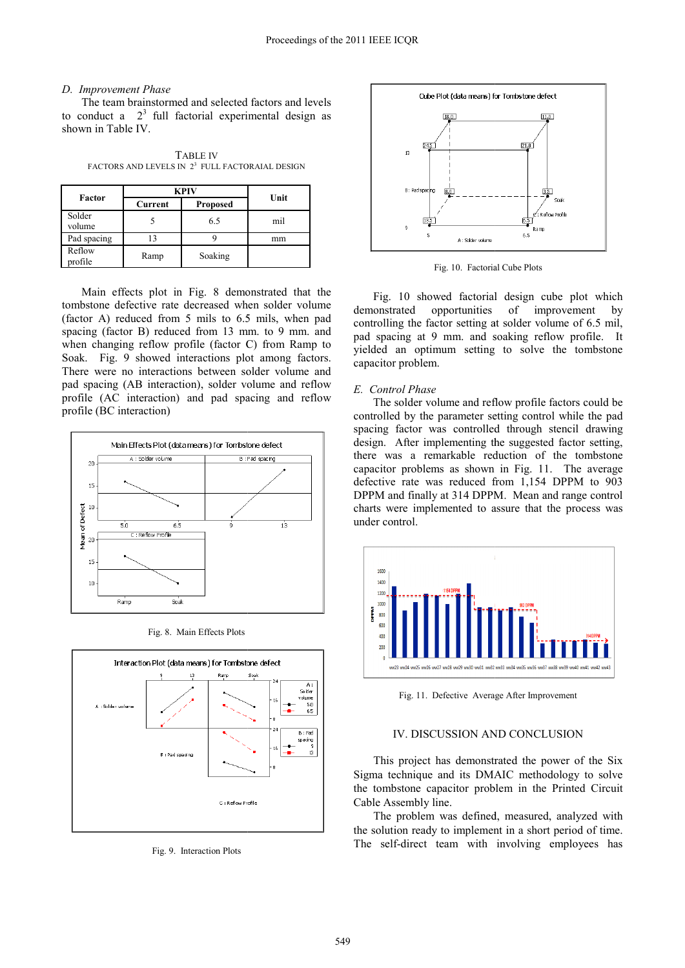# *D. Improvement Phase*

 The team brainstormed and selected d factors and levels to conduct a  $2^3$  full factorial experimental design as shown in Table IV.

TABLE IV FACTORS AND LEVELS IN  $2^3$  FULL FACTORAIAL DESIGN

|                   | <b>KPIV</b> |                 |      |  |
|-------------------|-------------|-----------------|------|--|
| Factor            | Current     | <b>Proposed</b> | Unit |  |
| Solder<br>volume  |             | 6.5             | mil  |  |
| Pad spacing       | 13          |                 | mm   |  |
| Reflow<br>profile | Ramp        | Soaking         |      |  |

Main effects plot in Fig. 8 demonstrated that the tombstone defective rate decreased wh hen solder volume (factor A) reduced from 5 mils to 6.5 5 mils, when pad spacing (factor B) reduced from 13 mm. to 9 mm. and when changing reflow profile (factor C) from Ramp to Soak. Fig. 9 showed interactions plot among factors. There were no interactions between solder volume and pad spacing (AB interaction), solder volume and reflow profile (AC interaction) and pad spacing and reflow profile (BC interaction)



Fig. 8. Main Effects Plots



Fig. 9. Interaction Plots



Fig. 10. Factorial Cube Plots

Fig. 10 showed factorial design cube plot which demonstrated opportunities controlling the factor setting at solder volume of 6.5 mil, pad spacing at 9 mm. and soaking reflow profile. It yielded an optimum setting to solve the tombstone capacitor problem. of improvement by

# *E. Control Phase*

The solder volume and reflow profile factors could be controlled by the parameter setting control while the pad spacing factor was controlled d through stencil drawing design. After implementing the suggested factor setting, there was a remarkable reduction of the tombstone capacitor problems as shown in Fig. 11. The average defective rate was reduced from 1,154 DPPM to 903 DPPM and finally at 314 DPPM. Mean and range control charts were implemented to a assure that the process was under control.



Fig. 11. Defective Avera ge After Improvement

### IV. DISCUSSION AND CONCLUSION

This project has demonstrated the power of the Six Sigma technique and its DMA AIC methodology to solve the tombstone capacitor problem in the Printed Circuit Cable Assembly line.

The problem was defined, measured, analyzed with the solution ready to implement in a short period of time. The self-direct team with involving employees has